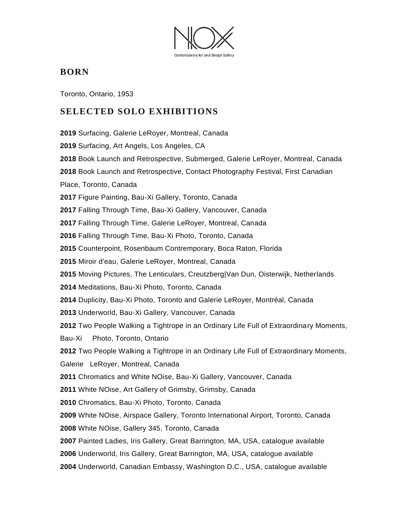

### **BORN**

Toronto, Ontario, 1953

### **SELECTED SOLO EXHIBITIONS**

Surfacing, Galerie LeRoyer, Montreal, Canada

Surfacing, Art Angels, Los Angeles, CA

Book Launch and Retrospective, Submerged, Galerie LeRoyer, Montreal, Canada

Book Launch and Retrospective, Contact Photography Festival, First Canadian

Place, Toronto, Canada

Figure Painting, Bau-Xi Gallery, Toronto, Canada

Falling Through Time, Bau-Xi Gallery, Vancouver, Canada

Falling Through Time, Galerie LeRoyer, Montreal, Canada

Falling Through Time, Bau-Xi Photo, Toronto, Canada

Counterpoint, Rosenbaum Contremporary, Boca Raton, Florida

Miroir d'eau, Galerie LeRoyer, Montreal, Canada

Moving Pictures, The Lenticulars, Creutzberg|Van Dun, Oisterwijk, Netherlands

Meditations, Bau-Xi Photo, Toronto, Canada

Duplicity, Bau-Xi Photo, Toronto and Galerie LeRoyer, Montréal, Canada

Underworld, Bau-Xi Gallery, Vancouver, Canada

Two People Walking a Tightrope in an Ordinary Life Full of Extraordinary Moments,

Bau-Xi Photo, Toronto, Ontario

Two People Walking a Tightrope in an Ordinary Life Full of Extraordinary Moments,

Galerie LeRoyer, Montreal, Canada

Chromatics and White NOise, Bau-Xi Gallery, Vancouver, Canada

White NOise, Art Gallery of Grimsby, Grimsby, Canada

Chromatics, Bau-Xi Photo, Toronto, Canada

White NOise, Airspace Gallery, Toronto International Airport, Toronto, Canada

White NOise, Gallery 345, Toronto, Canada

Painted Ladies, Iris Gallery, Great Barrington, MA, USA, catalogue available

Underworld, Iris Gallery, Great Barrington, MA, USA, catalogue available

Underworld, Canadian Embassy, Washington D.C., USA, catalogue available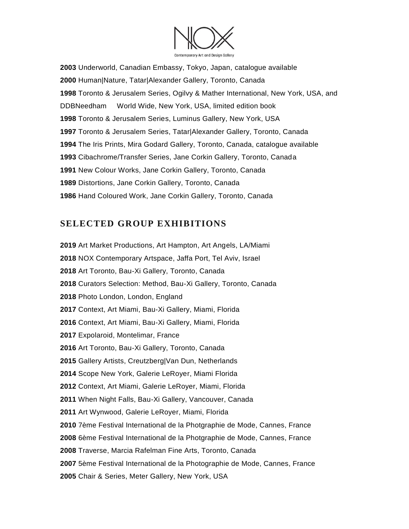

 Underworld, Canadian Embassy, Tokyo, Japan, catalogue available Human|Nature, Tatar|Alexander Gallery, Toronto, Canada Toronto & Jerusalem Series, Ogilvy & Mather International, New York, USA, and DDBNeedham World Wide, New York, USA, limited edition book Toronto & Jerusalem Series, Luminus Gallery, New York, USA Toronto & Jerusalem Series, Tatar|Alexander Gallery, Toronto, Canada The Iris Prints, Mira Godard Gallery, Toronto, Canada, catalogue available Cibachrome/Transfer Series, Jane Corkin Gallery, Toronto, Canada New Colour Works, Jane Corkin Gallery, Toronto, Canada Distortions, Jane Corkin Gallery, Toronto, Canada Hand Coloured Work, Jane Corkin Gallery, Toronto, Canada

## **SELECTED GROUP EXHIBITIONS**

Art Market Productions, Art Hampton, Art Angels, LA/Miami NOX Contemporary Artspace, Jaffa Port, Tel Aviv, Israel Art Toronto, Bau-Xi Gallery, Toronto, Canada Curators Selection: Method, Bau-Xi Gallery, Toronto, Canada Photo London, London, England Context, Art Miami, Bau-Xi Gallery, Miami, Florida Context, Art Miami, Bau-Xi Gallery, Miami, Florida Expolaroid, Montelimar, France Art Toronto, Bau-Xi Gallery, Toronto, Canada Gallery Artists, Creutzberg|Van Dun, Netherlands Scope New York, Galerie LeRoyer, Miami Florida Context, Art Miami, Galerie LeRoyer, Miami, Florida When Night Falls, Bau-Xi Gallery, Vancouver, Canada Art Wynwood, Galerie LeRoyer, Miami, Florida 7ème Festival International de la Photgraphie de Mode, Cannes, France 6ème Festival International de la Photgraphie de Mode, Cannes, France Traverse, Marcia Rafelman Fine Arts, Toronto, Canada 5ème Festival International de la Photographie de Mode, Cannes, France Chair & Series, Meter Gallery, New York, USA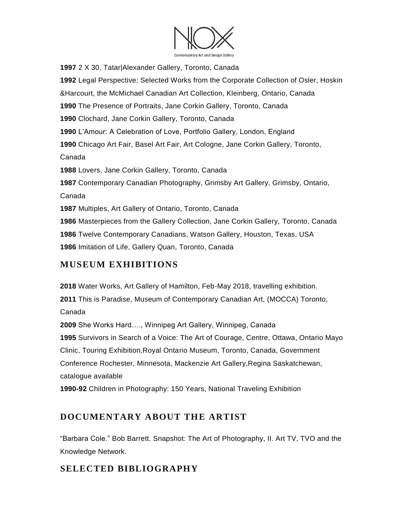

 2 X 30, Tatar|Alexander Gallery, Toronto, Canada Legal Perspective: Selected Works from the Corporate Collection of Osler, Hoskin &Harcourt, the McMichael Canadian Art Collection, Kleinberg, Ontario, Canada The Presence of Portraits, Jane Corkin Gallery, Toronto, Canada Clochard, Jane Corkin Gallery, Toronto, Canada L'Amour: A Celebration of Love, Portfolio Gallery, London, England Chicago Art Fair, Basel Art Fair, Art Cologne, Jane Corkin Gallery, Toronto, Canada Lovers, Jane Corkin Gallery, Toronto, Canada Contemporary Canadian Photography, Grimsby Art Gallery, Grimsby, Ontario, Canada Multiples, Art Gallery of Ontario, Toronto, Canada Masterpieces from the Gallery Collection, Jane Corkin Gallery, Toronto, Canada Twelve Contemporary Canadians, Watson Gallery, Houston, Texas, USA Imitation of Life, Gallery Quan, Toronto, Canada

### **MUSEUM EXHIBITIONS**

**2018** Water Works, Art Gallery of Hamilton, Feb-May 2018, travelling exhibition. **2011** This is Paradise, Museum of Contemporary Canadian Art, (MOCCA) Toronto, Canada **2009** She Works Hard…., Winnipeg Art Gallery, Winnipeg, Canada **1995** Survivors in Search of a Voice: The Art of Courage, Centre, Ottawa, Ontario Mayo Clinic, Touring Exhibition,Royal Ontario Museum, Toronto, Canada, Government Conference Rochester, Minnesota, Mackenzie Art Gallery,Regina Saskatchewan, catalogue available

**1990-92** Children in Photography: 150 Years, National Traveling Exhibition

# **DOCUMENTARY ABOUT THE ARTIST**

"Barbara Cole." Bob Barrett. Snapshot: The Art of Photography, II. Art TV, TVO and the Knowledge Network.

### **SELECTED BIBLIOGRAPHY**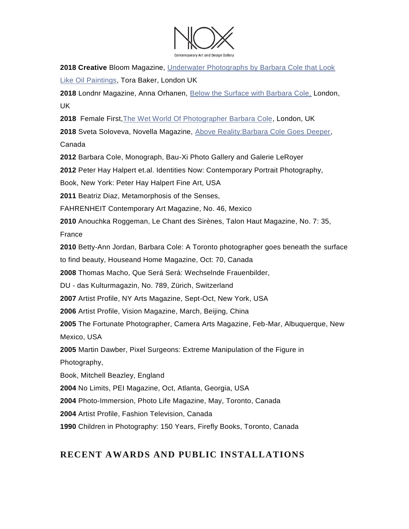

**2018 Creative** Bloom Magazine, [Underwater Photographs by Barbara Cole that Look](https://www.creativeboom.com/inspiration/underwater-photographs-by-barbara-cole-that-look-like-oil-paintings-of-bathing-women/)  [Like Oil Paintings,](https://www.creativeboom.com/inspiration/underwater-photographs-by-barbara-cole-that-look-like-oil-paintings-of-bathing-women/) Tora Baker, London UK

**2018** Londnr Magazine, Anna Orhanen, [Below the Surface with Barbara Cole,](http://www.londnr.com/fashion-art/underwater-all-pretension-falls-off-below-the-surface-with-barbara-cole/) London, UK

**2018** Female First[,The Wet World Of Photographer Barbara Cole,](https://www.femalefirst.co.uk/culture/barbara-cole-underwater-photographer-1142825.html) London, UK

**2018** Sveta Soloveva, Novella Magazine, [Above Reality:Barbara Cole Goes Deeper,](https://novellamag.com/above-reality-barbara-cole-goes-deeper-under-water/) Canada

**2012** Barbara Cole, Monograph, Bau-Xi Photo Gallery and Galerie LeRoyer

**2012** Peter Hay Halpert et.al. Identities Now: Contemporary Portrait Photography,

Book, New York: Peter Hay Halpert Fine Art, USA

**2011** Beatriz Diaz, Metamorphosis of the Senses,

FAHRENHEIT Contemporary Art Magazine, No. 46, Mexico

**2010** Anouchka Roggeman, Le Chant des Sirènes, Talon Haut Magazine, No. 7: 35,

France

**2010** Betty-Ann Jordan, Barbara Cole: A Toronto photographer goes beneath the surface

to find beauty, Houseand Home Magazine, Oct: 70, Canada

**2008** Thomas Macho, Que Será Será: Wechselnde Frauenbilder,

DU - das Kulturmagazin, No. 789, Zürich, Switzerland

**2007** Artist Profile, NY Arts Magazine, Sept-Oct, New York, USA

**2006** Artist Profile, Vision Magazine, March, Beijing, China

**2005** The Fortunate Photographer, Camera Arts Magazine, Feb-Mar, Albuquerque, New Mexico, USA

**2005** Martin Dawber, Pixel Surgeons: Extreme Manipulation of the Figure in

Photography,

Book, Mitchell Beazley, England

**2004** No Limits, PEI Magazine, Oct, Atlanta, Georgia, USA

**2004** Photo-Immersion, Photo Life Magazine, May, Toronto, Canada

**2004** Artist Profile, Fashion Television, Canada

**1990** Children in Photography: 150 Years, Firefly Books, Toronto, Canada

### **RECENT AWARDS AND PUBLIC INSTALLATIONS**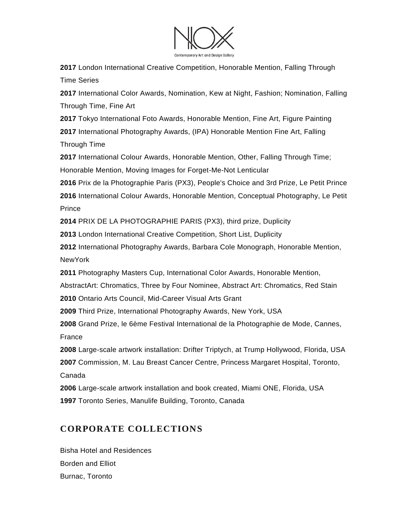

**2017** London International Creative Competition, Honorable Mention, Falling Through Time Series

**2017** International Color Awards, Nomination, Kew at Night, Fashion; Nomination, Falling Through Time, Fine Art

**2017** Tokyo International Foto Awards, Honorable Mention, Fine Art, Figure Painting **2017** International Photography Awards, (IPA) Honorable Mention Fine Art, Falling Through Time

**2017** International Colour Awards, Honorable Mention, Other, Falling Through Time; Honorable Mention, Moving Images for Forget-Me-Not Lenticular

**2016** Prix de la Photographie Paris (PX3), People's Choice and 3rd Prize, Le Petit Prince

**2016** International Colour Awards, Honorable Mention, Conceptual Photography, Le Petit **Prince** 

**2014** PRIX DE LA PHOTOGRAPHIE PARIS (PX3), third prize, Duplicity

**2013** London International Creative Competition, Short List, Duplicity

**2012** International Photography Awards, Barbara Cole Monograph, Honorable Mention, NewYork

**2011** Photography Masters Cup, International Color Awards, Honorable Mention,

AbstractArt: Chromatics, Three by Four Nominee, Abstract Art: Chromatics, Red Stain

**2010** Ontario Arts Council, Mid-Career Visual Arts Grant

**2009** Third Prize, International Photography Awards, New York, USA

**2008** Grand Prize, le 6ème Festival International de la Photographie de Mode, Cannes, France

**2008** Large-scale artwork installation: Drifter Triptych, at Trump Hollywood, Florida, USA **2007** Commission, M. Lau Breast Cancer Centre, Princess Margaret Hospital, Toronto, Canada

**2006** Large-scale artwork installation and book created, Miami ONE, Florida, USA **1997** Toronto Series, Manulife Building, Toronto, Canada

# **CORPORATE COLLECTIONS**

Bisha Hotel and Residences Borden and Elliot Burnac, Toronto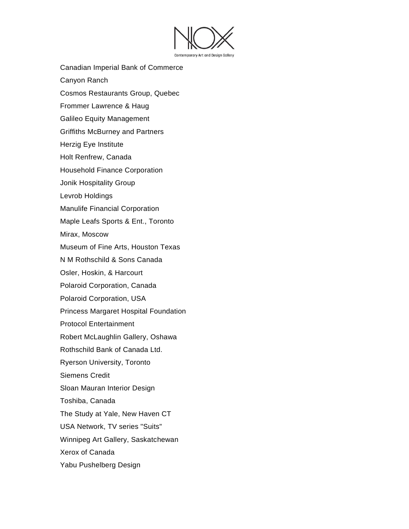

- Canadian Imperial Bank of Commerce
- Canyon Ranch
- Cosmos Restaurants Group, Quebec
- Frommer Lawrence & Haug
- Galileo Equity Management
- Griffiths McBurney and Partners
- Herzig Eye Institute
- Holt Renfrew, Canada
- Household Finance Corporation
- Jonik Hospitality Group
- Levrob Holdings
- Manulife Financial Corporation
- Maple Leafs Sports & Ent., Toronto
- Mirax, Moscow
- Museum of Fine Arts, Houston Texas
- N M Rothschild & Sons Canada
- Osler, Hoskin, & Harcourt
- Polaroid Corporation, Canada
- Polaroid Corporation, USA
- Princess Margaret Hospital Foundation
- Protocol Entertainment
- Robert McLaughlin Gallery, Oshawa
- Rothschild Bank of Canada Ltd.
- Ryerson University, Toronto
- Siemens Credit
- Sloan Mauran Interior Design
- Toshiba, Canada
- The Study at Yale, New Haven CT
- USA Network, TV series "Suits"
- Winnipeg Art Gallery, Saskatchewan
- Xerox of Canada
- Yabu Pushelberg Design